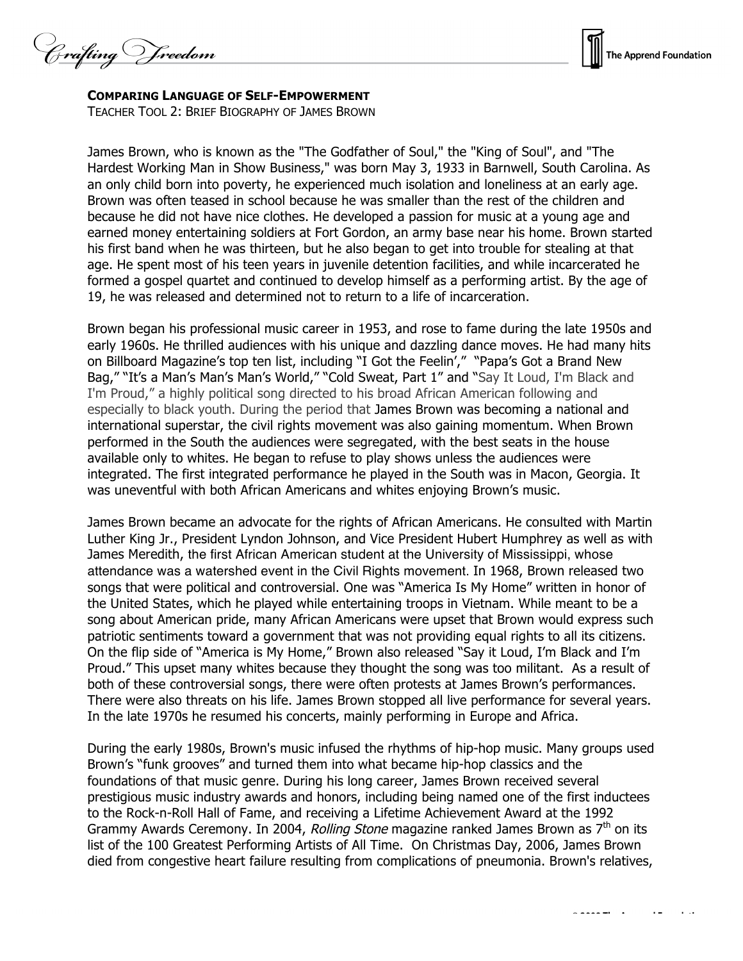Crafting Vreedom



## **COMPARING LANGUAGE OF SELF-EMPOWERMENT**

TEACHER TOOL 2: BRIEF BIOGRAPHY OF JAMES BROWN

James Brown, who is known as the "The Godfather of Soul," the "King of Soul", and "The Hardest Working Man in Show Business," was born May 3, 1933 in Barnwell, South Carolina. As an only child born into poverty, he experienced much isolation and loneliness at an early age. Brown was often teased in school because he was smaller than the rest of the children and because he did not have nice clothes. He developed a passion for music at a young age and earned money entertaining soldiers at Fort Gordon, an army base near his home. Brown started his first band when he was thirteen, but he also began to get into trouble for stealing at that age. He spent most of his teen years in juvenile detention facilities, and while incarcerated he formed a gospel quartet and continued to develop himself as a performing artist. By the age of 19, he was released and determined not to return to a life of incarceration.

Brown began his professional music career in 1953, and rose to fame during the late 1950s and early 1960s. He thrilled audiences with his unique and dazzling dance moves. He had many hits on Billboard Magazine's top ten list, including "I Got the Feelin'," "Papa's Got a Brand New Bag," "It's a Man's Man's Man's World," "Cold Sweat, Part 1" and "Say It Loud, I'm Black and I'm Proud," a highly political song directed to his broad African American following and especially to black youth. During the period that James Brown was becoming a national and international superstar, the civil rights movement was also gaining momentum. When Brown performed in the South the audiences were segregated, with the best seats in the house available only to whites. He began to refuse to play shows unless the audiences were integrated. The first integrated performance he played in the South was in Macon, Georgia. It was uneventful with both African Americans and whites enjoying Brown's music.

James Brown became an advocate for the rights of African Americans. He consulted with Martin Luther King Jr., President Lyndon Johnson, and Vice President Hubert Humphrey as well as with James Meredith, the first African American student at the University of Mississippi, whose attendance was a watershed event in the Civil Rights movement. In 1968, Brown released two songs that were political and controversial. One was "America Is My Home" written in honor of the United States, which he played while entertaining troops in Vietnam. While meant to be a song about American pride, many African Americans were upset that Brown would express such patriotic sentiments toward a government that was not providing equal rights to all its citizens. On the flip side of "America is My Home," Brown also released "Say it Loud, I'm Black and I'm Proud." This upset many whites because they thought the song was too militant. As a result of both of these controversial songs, there were often protests at James Brown's performances. There were also threats on his life. James Brown stopped all live performance for several years. In the late 1970s he resumed his concerts, mainly performing in Europe and Africa.

During the early 1980s, Brown's music infused the rhythms of hip-hop music. Many groups used Brown's "funk grooves" and turned them into what became hip-hop classics and the foundations of that music genre. During his long career, James Brown received several prestigious music industry awards and honors, including being named one of the first inductees to the Rock-n-Roll Hall of Fame, and receiving a Lifetime Achievement Award at the 1992 Grammy Awards Ceremony. In 2004, Rolling Stone magazine ranked James Brown as  $7<sup>th</sup>$  on its list of the 100 Greatest Performing Artists of All Time. On Christmas Day, 2006, James Brown died from congestive heart failure resulting from complications of pneumonia. Brown's relatives,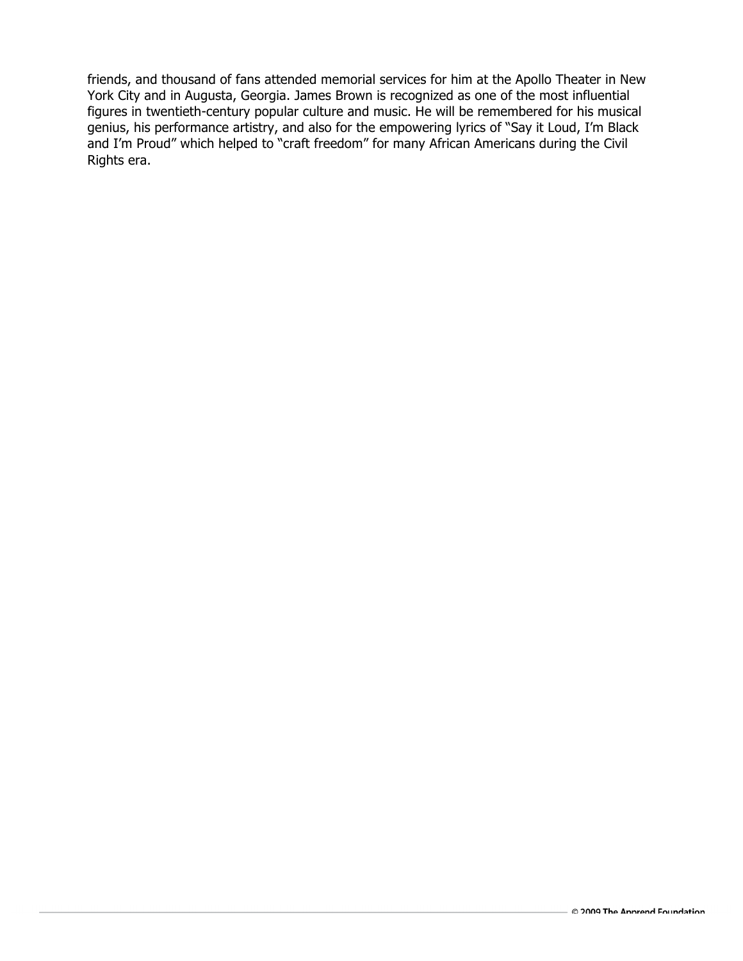friends, and thousand of fans attended memorial services for him at the Apollo Theater in New York City and in Augusta, Georgia. James Brown is recognized as one of the most influential figures in twentieth-century popular culture and music. He will be remembered for his musical genius, his performance artistry, and also for the empowering lyrics of "Say it Loud, I'm Black and I'm Proud" which helped to "craft freedom" for many African Americans during the Civil Rights era.